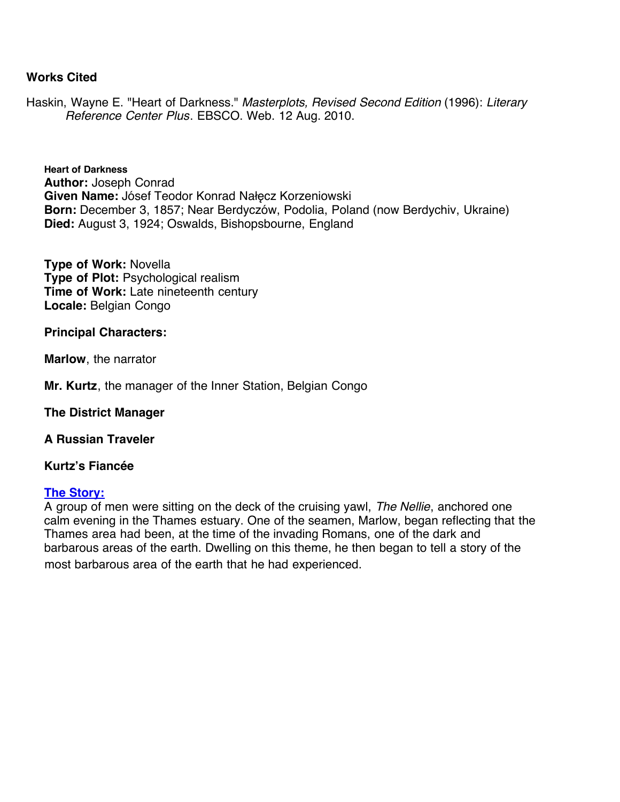# **Works Cited**

Haskin, Wayne E. "Heart of Darkness." *Masterplots, Revised Second Edition* (1996): *Literary Reference Center Plus*. [EBSCO. Web. 12 Aug. 2010.](javascript:openWideTip()

**Heart of Darkness Author:** Joseph Conrad **Given Name:** Jósef Teodor Konrad Nałęcz Korzeniowski **Born:** December 3, 1857; Near Berdyczów, Podolia, Poland (now Berdychiv, Ukraine) **Died:** August 3, 1924; Oswalds, Bishopsbourne, England

**Type of Work:** Novella **Type of Plot:** [Psychological realism](http://search.ebscohost.com/login.aspx?direct=true&db=lkh&AN=MOL9320000117&site=lrc-plus)  **Time of Work:** Late nineteenth century **Locale:** Belgian Congo

### **Principal Characters:**

**Marlow**, the narrator

**Mr. Kurtz**, the manager of the Inner Station, Belgian Congo

**The District Manager**

**A Russian Traveler**

## **Kurtz's Fiancée**

## **The Story:**

A group of men were sitting on the deck of the cruising yawl, *The Nellie*, anchored one calm evening in the Thames estuary. One of the seamen, Marlow, began reflecting that the Thames area had been, at the time of the invading Romans, one of the dark and barbarous areas of the earth. Dwelling on this theme, he then began to tell a story of the most barbarous area of the earth that he had experienced.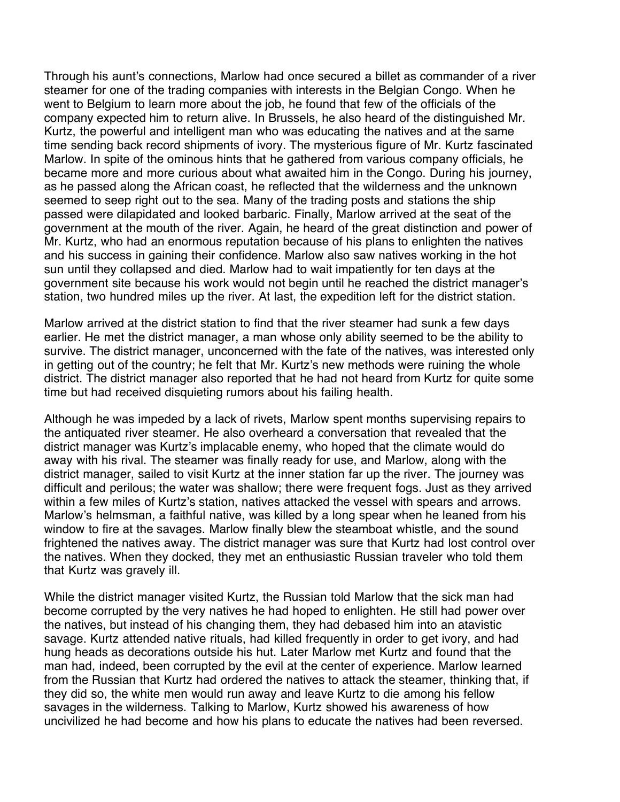Through his aunt's connections, Marlow had once secured a billet as commander of a river steamer for one of the trading companies with interests in the Belgian Congo. When he went to Belgium to learn more about the job, he found that few of the officials of the company expected him to return alive. In Brussels, he also heard of the distinguished Mr. Kurtz, the powerful and intelligent man who was educating the natives and at the same time sending back record shipments of ivory. The mysterious figure of Mr. Kurtz fascinated Marlow. In spite of the ominous hints that he gathered from various company officials, he became more and more curious about what awaited him in the Congo. During his journey, as he passed along the African coast, he reflected that the wilderness and the unknown seemed to seep right out to the sea. Many of the trading posts and stations the ship passed were dilapidated and looked barbaric. Finally, Marlow arrived at the seat of the government at the mouth of the river. Again, he heard of the great distinction and power of Mr. Kurtz, who had an enormous reputation because of his plans to enlighten the natives and his success in gaining their confidence. Marlow also saw natives working in the hot sun until they collapsed and died. Marlow had to wait impatiently for ten days at the government site because his work would not begin until he reached the district manager's station, two hundred miles up the river. At last, the expedition left for the district station.

Marlow arrived at the district station to find that the river steamer had sunk a few days earlier. He met the district manager, a man whose only ability seemed to be the ability to survive. The district manager, unconcerned with the fate of the natives, was interested only in getting out of the country; he felt that Mr. Kurtz's new methods were ruining the whole district. The district manager also reported that he had not heard from Kurtz for quite some time but had received disquieting rumors about his failing health.

Although he was impeded by a lack of rivets, Marlow spent months supervising repairs to the antiquated river steamer. He also overheard a conversation that revealed that the district manager was Kurtz's implacable enemy, who hoped that the climate would do away with his rival. The steamer was finally ready for use, and Marlow, along with the district manager, sailed to visit Kurtz at the inner station far up the river. The journey was difficult and perilous; the water was shallow; there were frequent fogs. Just as they arrived within a few miles of Kurtz's station, natives attacked the vessel with spears and arrows. Marlow's helmsman, a faithful native, was killed by a long spear when he leaned from his window to fire at the savages. Marlow finally blew the steamboat whistle, and the sound frightened the natives away. The district manager was sure that Kurtz had lost control over the natives. When they docked, they met an enthusiastic Russian traveler who told them that Kurtz was gravely ill.

While the district manager visited Kurtz, the Russian told Marlow that the sick man had become corrupted by the very natives he had hoped to enlighten. He still had power over the natives, but instead of his changing them, they had debased him into an atavistic savage. Kurtz attended native rituals, had killed frequently in order to get ivory, and had hung heads as decorations outside his hut. Later Marlow met Kurtz and found that the man had, indeed, been corrupted by the evil at the center of experience. Marlow learned from the Russian that Kurtz had ordered the natives to attack the steamer, thinking that, if they did so, the white men would run away and leave Kurtz to die among his fellow savages in the wilderness. Talking to Marlow, Kurtz showed his awareness of how uncivilized he had become and how his plans to educate the natives had been reversed.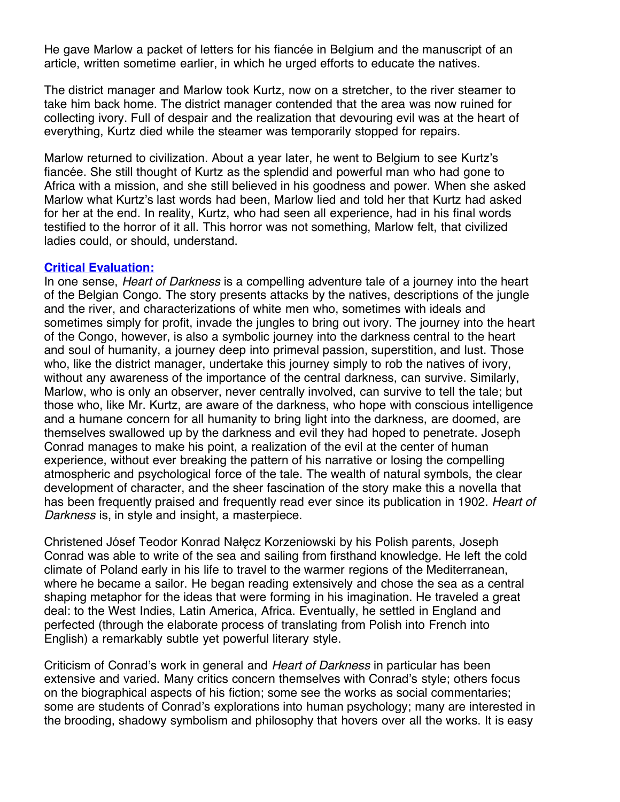He gave Marlow a packet of letters for his fiancée in Belgium and the manuscript of an article, written sometime earlier, in which he urged efforts to educate the natives.

The district manager and Marlow took Kurtz, now on a stretcher, to the river steamer to take him back home. The district manager contended that the area was now ruined for collecting ivory. Full of despair and the realization that devouring evil was at the heart of everything, Kurtz died while the steamer was temporarily stopped for repairs.

Marlow returned to civilization. About a year later, he went to Belgium to see Kurtz's fiancée. She still thought of Kurtz as the splendid and powerful man who had gone to Africa with a mission, and she still believed in his goodness and power. When she asked Marlow what Kurtz's last words had been, Marlow lied and told her that Kurtz had asked for her at the end. In reality, Kurtz, who had seen all experience, had in his final words testified to the horror of it all. This horror was not something, Marlow felt, that civilized ladies could, or should, understand.

#### **[Critical Evaluation:](http://web.ebscohost.com/lrc/delivery?vid=42&hid=8&sid=1f3d962f-fa44-4111-9bd3-bcbd2fa2543f%40sessionmgr14#toc)**

In one sense, *Heart of Darkness* is a compelling adventure tale of a journey into the heart of the Belgian Congo. The story presents attacks by the natives, descriptions of the jungle and the river, and characterizations of white men who, sometimes with ideals and sometimes simply for profit, invade the jungles to bring out ivory. The journey into the heart of the Congo, however, is also a symbolic journey into the darkness central to the heart and soul of humanity, a journey deep into primeval passion, superstition, and lust. Those who, like the district manager, undertake this journey simply to rob the natives of ivory, without any awareness of the importance of the central darkness, can survive. Similarly, Marlow, who is only an observer, never centrally involved, can survive to tell the tale; but those who, like Mr. Kurtz, are aware of the darkness, who hope with conscious intelligence and a humane concern for all humanity to bring light into the darkness, are doomed, are themselves swallowed up by the darkness and evil they had hoped to penetrate. Joseph Conrad manages to make his point, a realization of the evil at the center of human experience, without ever breaking the pattern of his narrative or losing the compelling atmospheric and psychological force of the tale. The wealth of natural symbols, the clear development of character, and the sheer fascination of the story make this a novella that has been frequently praised and frequently read ever since its publication in 1902. *Heart of Darkness* is, in style and insight, a masterpiece.

Christened Jósef Teodor Konrad Nałęcz Korzeniowski by his Polish parents, Joseph Conrad was able to write of the sea and sailing from firsthand knowledge. He left the cold climate of Poland early in his life to travel to the warmer regions of the Mediterranean, where he became a sailor. He began reading extensively and chose the sea as a central shaping metaphor for the ideas that were forming in his imagination. He traveled a great deal: to the West Indies, Latin America, Africa. Eventually, he settled in England and perfected (through the elaborate process of translating from Polish into French into English) a remarkably subtle yet powerful literary style.

Criticism of Conrad's work in general and *Heart of Darkness* in particular has been extensive and varied. Many critics concern themselves with Conrad's style; others focus on the biographical aspects of his fiction; some see the works as social commentaries; some are students of Conrad's explorations into human psychology; many are interested in the brooding, shadowy symbolism and philosophy that hovers over all the works. It is easy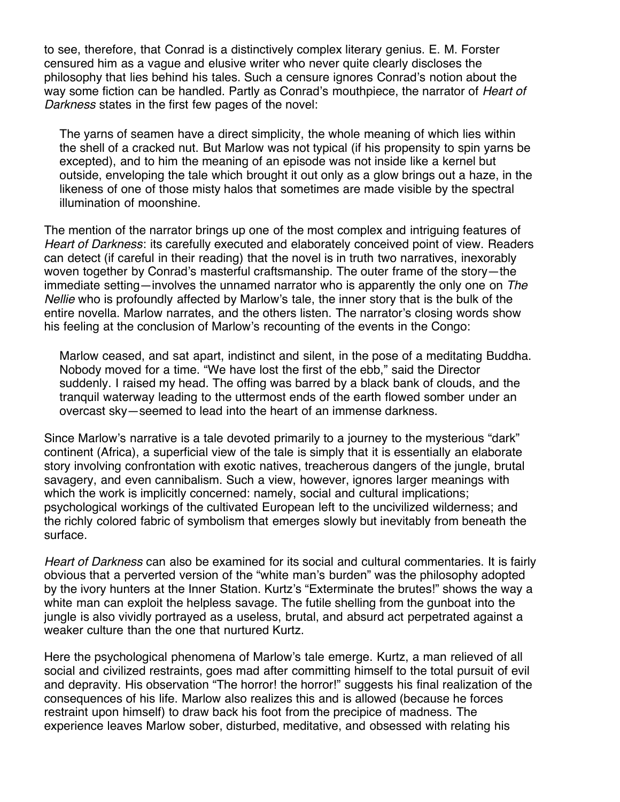to see, therefore, that Conrad is a distinctively complex literary genius. E. M. Forster censured him as a vague and elusive writer who never quite clearly discloses the philosophy that lies behind his tales. Such a censure ignores Conrad's notion about the way some fiction can be handled. Partly as Conrad's mouthpiece, the narrator of *Heart of Darkness* states in the first few pages of the novel:

The yarns of seamen have a direct simplicity, the whole meaning of which lies within the shell of a cracked nut. But Marlow was not typical (if his propensity to spin yarns be excepted), and to him the meaning of an episode was not inside like a kernel but outside, enveloping the tale which brought it out only as a glow brings out a haze, in the likeness of one of those misty halos that sometimes are made visible by the spectral illumination of moonshine.

The mention of the narrator brings up one of the most complex and intriguing features of *Heart of Darkness*: its carefully executed and elaborately conceived point of view. Readers can detect (if careful in their reading) that the novel is in truth two narratives, inexorably woven together by Conrad's masterful craftsmanship. The outer frame of the story—the immediate setting—involves the unnamed narrator who is apparently the only one on *The Nellie* who is profoundly affected by Marlow's tale, the inner story that is the bulk of the entire novella. Marlow narrates, and the others listen. The narrator's closing words show his feeling at the conclusion of Marlow's recounting of the events in the Congo:

Marlow ceased, and sat apart, indistinct and silent, in the pose of a meditating Buddha. Nobody moved for a time. "We have lost the first of the ebb," said the Director suddenly. I raised my head. The offing was barred by a black bank of clouds, and the tranquil waterway leading to the uttermost ends of the earth flowed somber under an overcast sky—seemed to lead into the heart of an immense darkness.

Since Marlow's narrative is a tale devoted primarily to a journey to the mysterious "dark" continent (Africa), a superficial view of the tale is simply that it is essentially an elaborate story involving confrontation with exotic natives, treacherous dangers of the jungle, brutal savagery, and even cannibalism. Such a view, however, ignores larger meanings with which the work is implicitly concerned: namely, social and cultural implications; psychological workings of the cultivated European left to the uncivilized wilderness; and the richly colored fabric of symbolism that emerges slowly but inevitably from beneath the surface.

*Heart of Darkness* can also be examined for its social and cultural commentaries. It is fairly obvious that a perverted version of the "white man's burden" was the philosophy adopted by the ivory hunters at the Inner Station. Kurtz's "Exterminate the brutes!" shows the way a white man can exploit the helpless savage. The futile shelling from the gunboat into the jungle is also vividly portrayed as a useless, brutal, and absurd act perpetrated against a weaker culture than the one that nurtured Kurtz.

Here the psychological phenomena of Marlow's tale emerge. Kurtz, a man relieved of all social and civilized restraints, goes mad after committing himself to the total pursuit of evil and depravity. His observation "The horror! the horror!" suggests his final realization of the consequences of his life. Marlow also realizes this and is allowed (because he forces restraint upon himself) to draw back his foot from the precipice of madness. The experience leaves Marlow sober, disturbed, meditative, and obsessed with relating his